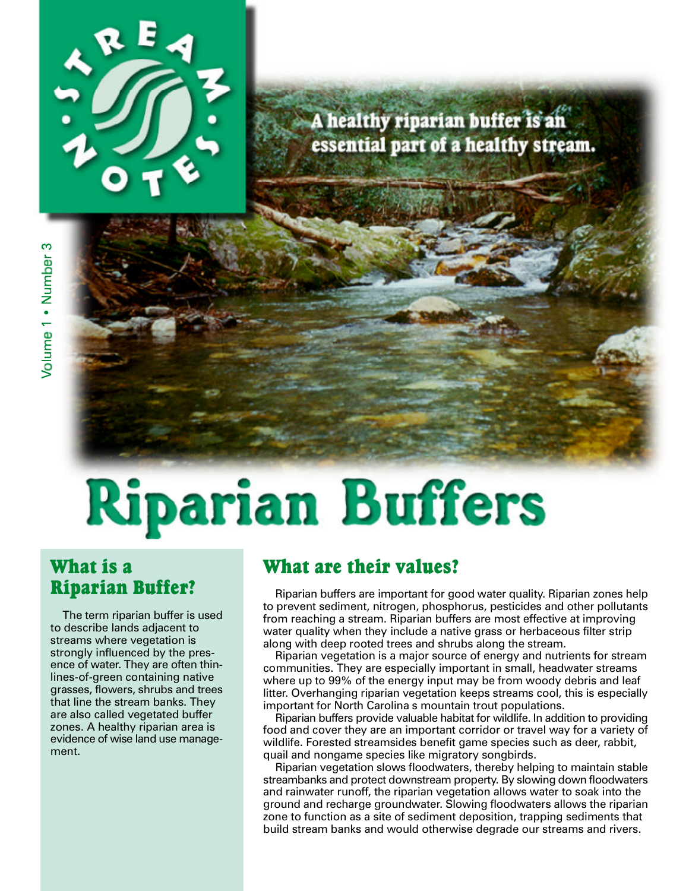

## A healthy riparian buffer is an essential part of a healthy stream.

# **Riparian Buffers**

## What is a Riparian Buffer?

The term riparian buffer is used to describe lands adjacent to streams where vegetation is strongly influenced by the presence of water. They are often thinlines-of-green containing native grasses, flowers, shrubs and trees that line the stream banks. They are also called vegetated buffer zones. A healthy riparian area is evidence of wise land use management.

## What are their values?

Riparian buffers are important for good water quality. Riparian zones help to prevent sediment, nitrogen, phosphorus, pesticides and other pollutants from reaching a stream. Riparian buffers are most effective at improving water quality when they include a native grass or herbaceous filter strip along with deep rooted trees and shrubs along the stream.

Riparian vegetation is a major source of energy and nutrients for stream communities. They are especially important in small, headwater streams where up to 99% of the energy input may be from woody debris and leaf litter. Overhanging riparian vegetation keeps streams cool, this is especially important for North Carolina's mountain trout populations.

Riparian buffers provide valuable habitat for wildlife. In addition to providing food and cover they are an important corridor or travel way for a variety of wildlife. Forested streamsides benefit game species such as deer, rabbit, quail and nongame species like migratory songbirds.

Riparian vegetation slows floodwaters, thereby helping to maintain stable streambanks and protect downstream property. By slowing down floodwaters and rainwater runoff, the riparian vegetation allows water to soak into the ground and recharge groundwater. Slowing floodwaters allows the riparian zone to function as a site of sediment deposition, trapping sediments that build stream banks and would otherwise degrade our streams and rivers.